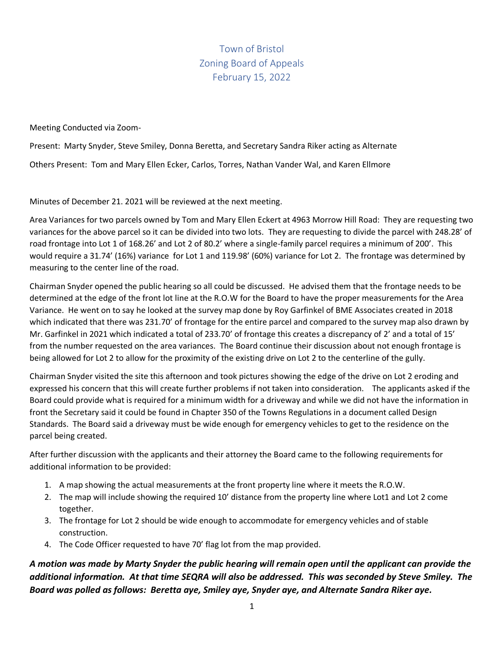Town of Bristol Zoning Board of Appeals February 15, 2022

Meeting Conducted via Zoom-

Present: Marty Snyder, Steve Smiley, Donna Beretta, and Secretary Sandra Riker acting as Alternate

Others Present: Tom and Mary Ellen Ecker, Carlos, Torres, Nathan Vander Wal, and Karen Ellmore

Minutes of December 21. 2021 will be reviewed at the next meeting.

Area Variances for two parcels owned by Tom and Mary Ellen Eckert at 4963 Morrow Hill Road: They are requesting two variances for the above parcel so it can be divided into two lots. They are requesting to divide the parcel with 248.28' of road frontage into Lot 1 of 168.26' and Lot 2 of 80.2' where a single-family parcel requires a minimum of 200'. This would require a 31.74' (16%) variance for Lot 1 and 119.98' (60%) variance for Lot 2. The frontage was determined by measuring to the center line of the road.

Chairman Snyder opened the public hearing so all could be discussed. He advised them that the frontage needs to be determined at the edge of the front lot line at the R.O.W for the Board to have the proper measurements for the Area Variance. He went on to say he looked at the survey map done by Roy Garfinkel of BME Associates created in 2018 which indicated that there was 231.70' of frontage for the entire parcel and compared to the survey map also drawn by Mr. Garfinkel in 2021 which indicated a total of 233.70' of frontage this creates a discrepancy of 2' and a total of 15' from the number requested on the area variances. The Board continue their discussion about not enough frontage is being allowed for Lot 2 to allow for the proximity of the existing drive on Lot 2 to the centerline of the gully.

Chairman Snyder visited the site this afternoon and took pictures showing the edge of the drive on Lot 2 eroding and expressed his concern that this will create further problems if not taken into consideration. The applicants asked if the Board could provide what is required for a minimum width for a driveway and while we did not have the information in front the Secretary said it could be found in Chapter 350 of the Towns Regulations in a document called Design Standards. The Board said a driveway must be wide enough for emergency vehicles to get to the residence on the parcel being created.

After further discussion with the applicants and their attorney the Board came to the following requirements for additional information to be provided:

- 1. A map showing the actual measurements at the front property line where it meets the R.O.W.
- 2. The map will include showing the required 10' distance from the property line where Lot1 and Lot 2 come together.
- 3. The frontage for Lot 2 should be wide enough to accommodate for emergency vehicles and of stable construction.
- 4. The Code Officer requested to have 70' flag lot from the map provided.

*A motion was made by Marty Snyder the public hearing will remain open until the applicant can provide the additional information. At that time SEQRA will also be addressed. This was seconded by Steve Smiley. The Board was polled as follows: Beretta aye, Smiley aye, Snyder aye, and Alternate Sandra Riker aye.*